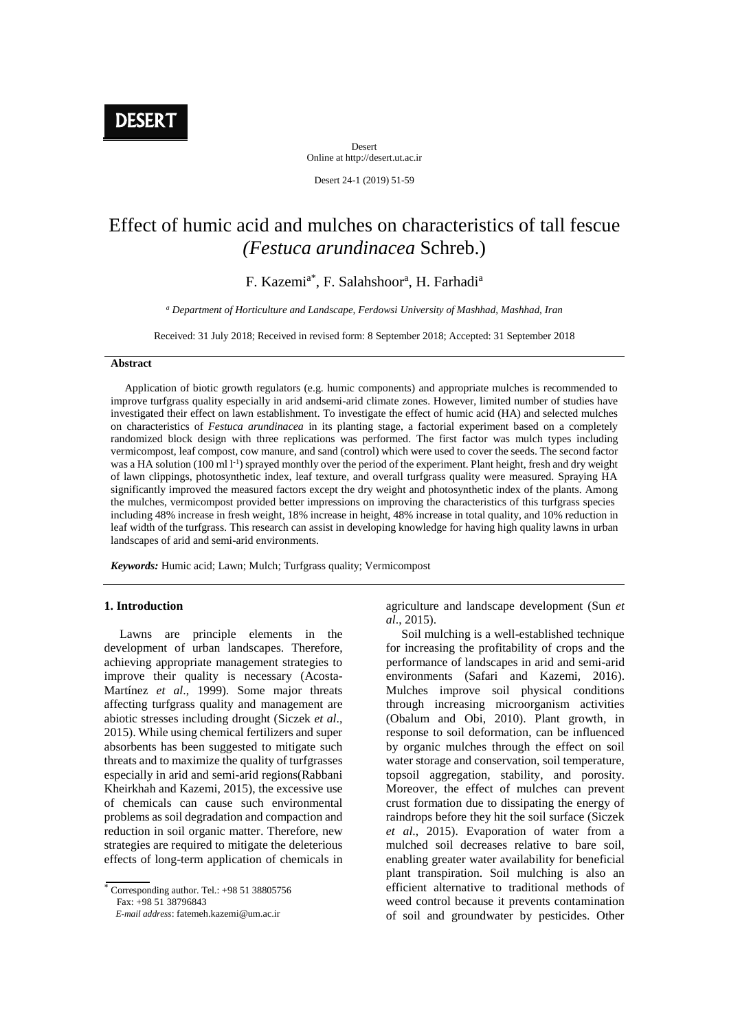**DESERT** 

Desert Online at http://desert.ut.ac.ir

Desert 24-1 (2019) 51-59

# Effect of humic acid and mulches on characteristics of tall fescue *(Festuca arundinacea* Schreb.)

F. Kazemi<sup>a\*</sup>, F. Salahshoor<sup>a</sup>, H. Farhadi<sup>a</sup>

*<sup>a</sup> Department of Horticulture and Landscape, Ferdowsi University of Mashhad, Mashhad, Iran*

Received: 31 July 2018; Received in revised form: 8 September 2018; Accepted: 31 September 2018

### **Abstract**

 Application of biotic growth regulators (e.g. humic components) and appropriate mulches is recommended to improve turfgrass quality especially in arid andsemi-arid climate zones. However, limited number of studies have investigated their effect on lawn establishment. To investigate the effect of humic acid (HA) and selected mulches on characteristics of *Festuca arundinacea* in its planting stage, a factorial experiment based on a completely randomized block design with three replications was performed. The first factor was mulch types including vermicompost, leaf compost, cow manure, and sand (control) which were used to cover the seeds. The second factor was a HA solution (100 ml l<sup>-1</sup>) sprayed monthly over the period of the experiment. Plant height, fresh and dry weight of lawn clippings, photosynthetic index, leaf texture, and overall turfgrass quality were measured. Spraying HA significantly improved the measured factors except the dry weight and photosynthetic index of the plants. Among the mulches, vermicompost provided better impressions on improving the characteristics of this turfgrass species including 48% increase in fresh weight, 18% increase in height, 48% increase in total quality, and 10% reduction in leaf width of the turfgrass. This research can assist in developing knowledge for having high quality lawns in urban landscapes of arid and semi-arid environments.

*Keywords:* Humic acid; Lawn; Mulch; Turfgrass quality; Vermicompost

### **1. Introduction**

 Lawns are principle elements in the development of urban landscapes. Therefore, achieving appropriate management strategies to improve their quality is necessary (Acosta-Martínez *et al*., 1999). Some major threats affecting turfgrass quality and management are abiotic stresses including drought (Siczek *et al*., 2015). While using chemical fertilizers and super absorbents has been suggested to mitigate such threats and to maximize the quality of turfgrasses especially in arid and semi-arid regions(Rabbani Kheirkhah and Kazemi, 2015), the excessive use of chemicals can cause such environmental problems as soil degradation and compaction and reduction in soil organic matter. Therefore, new strategies are required to mitigate the deleterious effects of long-term application of chemicals in

 $\overline{\overline{C}$  Corresponding author. Tel.: +98 51 38805756 Fax: +98 51 38796843

 *E-mail address*: fatemeh.kazemi@um.ac.ir

agriculture and landscape development (Sun *et al*., 2015).

 Soil mulching is a well-established technique for increasing the profitability of crops and the performance of landscapes in arid and semi-arid environments (Safari and Kazemi, 2016). Mulches improve soil physical conditions through increasing microorganism activities (Obalum and Obi, 2010). Plant growth, in response to soil deformation, can be influenced by organic mulches through the effect on soil water storage and conservation, soil temperature, topsoil aggregation, stability, and porosity. Moreover, the effect of mulches can prevent crust formation due to dissipating the energy of raindrops before they hit the soil surface (Siczek *et al*., 2015). Evaporation of water from a mulched soil decreases relative to bare soil, enabling greater water availability for beneficial plant transpiration. Soil mulching is also an efficient alternative to traditional methods of weed control because it prevents contamination of soil and groundwater by pesticides. Other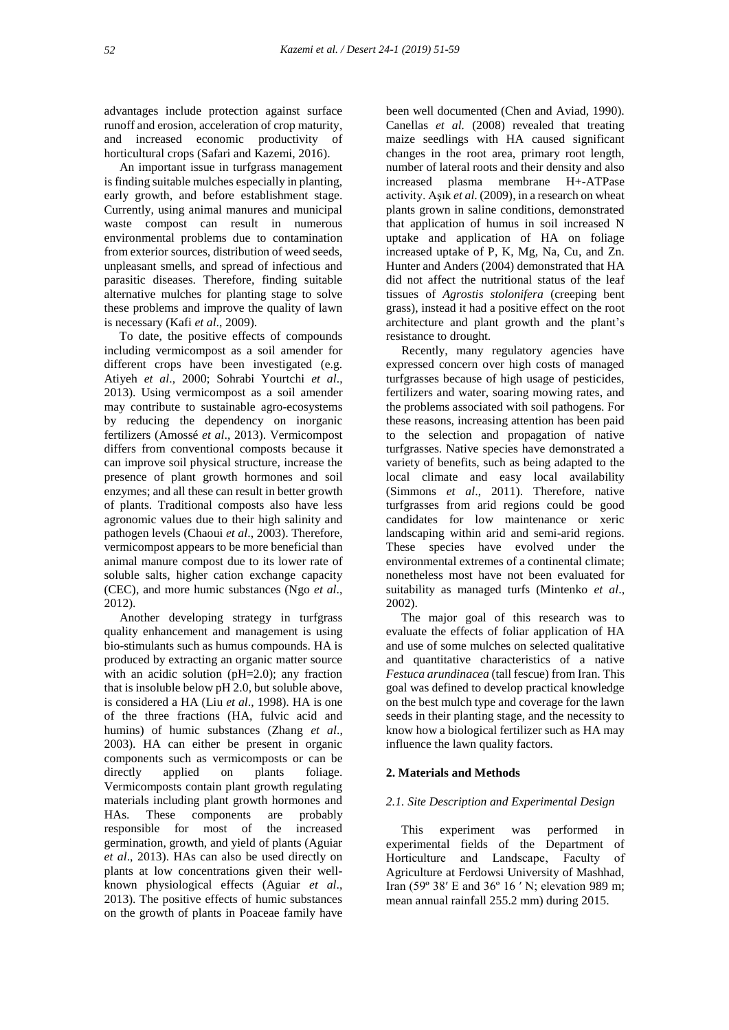advantages include protection against surface runoff and erosion, acceleration of crop maturity, and increased economic productivity of horticultural crops (Safari and Kazemi, 2016).

 An important issue in turfgrass management is finding suitable mulches especially in planting, early growth, and before establishment stage. Currently, using animal manures and municipal waste compost can result in numerous environmental problems due to contamination from exterior sources, distribution of weed seeds, unpleasant smells, and spread of infectious and parasitic diseases. Therefore, finding suitable alternative mulches for planting stage to solve these problems and improve the quality of lawn is necessary (Kafi *et al*., 2009).

 To date, the positive effects of compounds including vermicompost as a soil amender for different crops have been investigated (e.g. Atiyeh *et al*., 2000; Sohrabi Yourtchi *et al*., 2013). Using vermicompost as a soil amender may contribute to sustainable agro-ecosystems by reducing the dependency on inorganic fertilizers (Amossé *et al*., 2013). Vermicompost differs from conventional composts because it can improve soil physical structure, increase the presence of plant growth hormones and soil enzymes; and all these can result in better growth of plants. Traditional composts also have less agronomic values due to their high salinity and pathogen levels (Chaoui *et al*., 2003). Therefore, vermicompost appears to be more beneficial than animal manure compost due to its lower rate of soluble salts, higher cation exchange capacity (CEC), and more humic substances (Ngo *et al*., 2012).

 Another developing strategy in turfgrass quality enhancement and management is using bio-stimulants such as humus compounds. HA is produced by extracting an organic matter source with an acidic solution (pH=2.0); any fraction that is insoluble below pH 2.0, but soluble above, is considered a HA (Liu *et al*., 1998). HA is one of the three fractions (HA, fulvic acid and humins) of humic substances (Zhang *et al*., 2003). HA can either be present in organic components such as vermicomposts or can be directly applied on plants foliage. Vermicomposts contain plant growth regulating materials including plant growth hormones and HAs. These components are probably responsible for most of the increased germination, growth, and yield of plants (Aguiar *et al*., 2013). HAs can also be used directly on plants at low concentrations given their wellknown physiological effects (Aguiar *et al*., 2013). The positive effects of humic substances on the growth of plants in Poaceae family have

been well documented (Chen and Aviad, 1990). Canellas *et al.* (2008) revealed that treating maize seedlings with HA caused significant changes in the root area, primary root length, number of lateral roots and their density and also increased plasma membrane H+-ATPase activity. Aşık *et al*. (2009), in a research on wheat plants grown in saline conditions, demonstrated that application of humus in soil increased N uptake and application of HA on foliage increased uptake of P, K, Mg, Na, Cu, and Zn. Hunter and Anders (2004) demonstrated that HA did not affect the nutritional status of the leaf tissues of *Agrostis stolonifera* (creeping bent grass), instead it had a positive effect on the root architecture and plant growth and the plant's resistance to drought.

 Recently, many regulatory agencies have expressed concern over high costs of managed turfgrasses because of high usage of pesticides, fertilizers and water, soaring mowing rates, and the problems associated with soil pathogens. For these reasons, increasing attention has been paid to the selection and propagation of native turfgrasses. Native species have demonstrated a variety of benefits, such as being adapted to the local climate and easy local availability (Simmons *et al*., 2011). Therefore, native turfgrasses from arid regions could be good candidates for low maintenance or xeric landscaping within arid and semi-arid regions. These species have evolved under the environmental extremes of a continental climate; nonetheless most have not been evaluated for suitability as managed turfs (Mintenko *et al*., 2002).

 The major goal of this research was to evaluate the effects of foliar application of HA and use of some mulches on selected qualitative and quantitative characteristics of a native *Festuca arundinacea* (tall fescue) from Iran. This goal was defined to develop practical knowledge on the best mulch type and coverage for the lawn seeds in their planting stage, and the necessity to know how a biological fertilizer such as HA may influence the lawn quality factors.

#### **2. Materials and Methods**

#### *2.1. Site Description and Experimental Design*

 This experiment was performed in experimental fields of the Department of Horticulture and Landscape, Faculty of Agriculture at Ferdowsi University of Mashhad, Iran (59º 38′ E and 36º 16 ′ N; elevation 989 m; mean annual rainfall 255.2 mm) during 2015.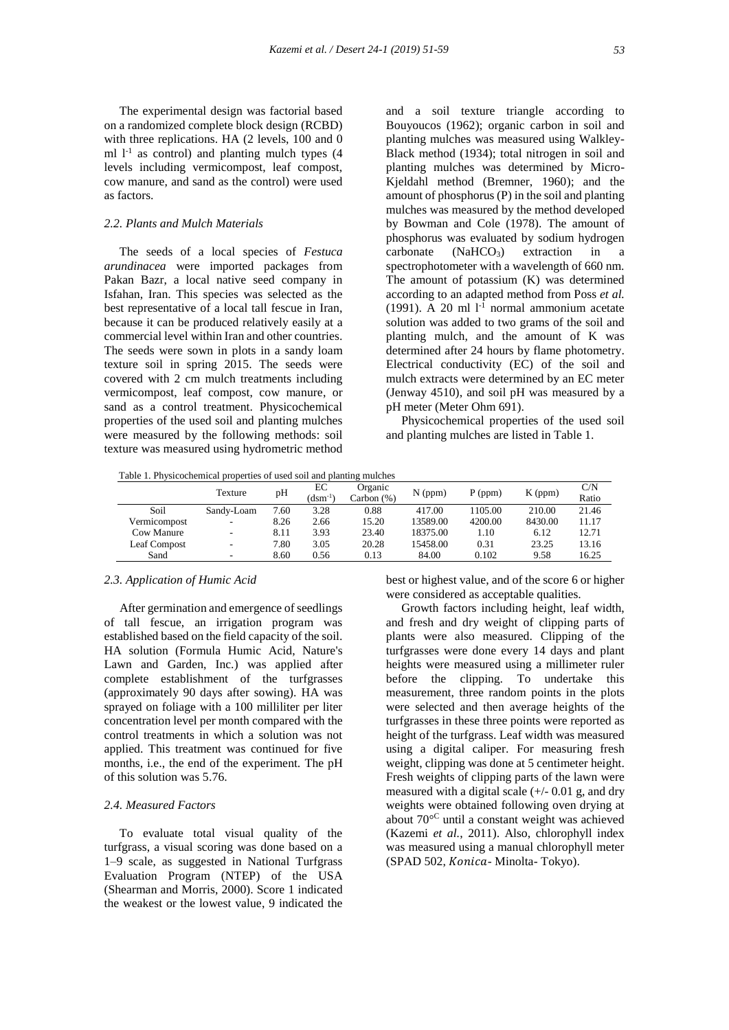The experimental design was factorial based on a randomized complete block design (RCBD) with three replications. HA (2 levels, 100 and 0 ml  $l<sup>-1</sup>$  as control) and planting mulch types (4 levels including vermicompost, leaf compost, cow manure, and sand as the control) were used as factors.

# *2.2. Plants and Mulch Materials*

 The seeds of a local species of *Festuca arundinacea* were imported packages from Pakan Bazr, a local native seed company in Isfahan, Iran. This species was selected as the best representative of a local tall fescue in Iran, because it can be produced relatively easily at a commercial level within Iran and other countries. The seeds were sown in plots in a sandy loam texture soil in spring 2015. The seeds were covered with 2 cm mulch treatments including vermicompost, leaf compost, cow manure, or sand as a control treatment. Physicochemical properties of the used soil and planting mulches were measured by the following methods: soil texture was measured using hydrometric method

and a soil texture triangle according to Bouyoucos (1962); organic carbon in soil and planting mulches was measured using Walkley-Black method (1934); total nitrogen in soil and planting mulches was determined by Micro-Kjeldahl method (Bremner, 1960); and the amount of phosphorus (P) in the soil and planting mulches was measured by the method developed by Bowman and Cole (1978). The amount of phosphorus was evaluated by sodium hydrogen carbonate  $(NaHCO<sub>3</sub>)$  extraction in a spectrophotometer with a wavelength of 660 nm. The amount of potassium (K) was determined according to an adapted method from Poss *et al.* (1991). A 20 ml  $1^{-1}$  normal ammonium acetate solution was added to two grams of the soil and planting mulch, and the amount of K was determined after 24 hours by flame photometry. Electrical conductivity (EC) of the soil and mulch extracts were determined by an EC meter (Jenway 4510), and soil pH was measured by a pH meter (Meter Ohm 691).

 Physicochemical properties of the used soil and planting mulches are listed in Table 1.

Table 1. Physicochemical properties of used soil and planting mulches

|              | Texture                  | pH   | ЕC<br>$(dsm^{-1})$ | Organic<br>Carbon (%) | $N$ (ppm) | $P$ (ppm) | $K$ (ppm) | C/N<br>Ratio |
|--------------|--------------------------|------|--------------------|-----------------------|-----------|-----------|-----------|--------------|
| Soil         | Sandy-Loam               | 7.60 | 3.28               | 0.88                  | 417.00    | 1105.00   | 210.00    | 21.46        |
| Vermicompost | ۰.                       | 8.26 | 2.66               | 15.20                 | 13589.00  | 4200.00   | 8430.00   | 11.17        |
| Cow Manure   | $\overline{\phantom{0}}$ | 8.11 | 3.93               | 23.40                 | 18375.00  | 1.10      | 6.12      | 12.71        |
| Leaf Compost | ۰                        | 7.80 | 3.05               | 20.28                 | 15458.00  | 0.31      | 23.25     | 13.16        |
| Sand         | ۰.                       | 8.60 | 0.56               | 0.13                  | 84.00     | 0.102     | 9.58      | 16.25        |

### *2.3. Application of Humic Acid*

 After germination and emergence of seedlings of tall fescue, an irrigation program was established based on the field capacity of the soil. HA solution (Formula Humic Acid, Nature's Lawn and Garden, Inc.) was applied after complete establishment of the turfgrasses (approximately 90 days after sowing). HA was sprayed on foliage with a 100 milliliter per liter concentration level per month compared with the control treatments in which a solution was not applied. This treatment was continued for five months, i.e., the end of the experiment. The pH of this solution was 5.76.

# *2.4. Measured Factors*

 To evaluate total visual quality of the turfgrass, a visual scoring was done based on a 1–9 scale, as suggested in National Turfgrass Evaluation Program (NTEP) of the USA (Shearman and Morris, 2000). Score 1 indicated the weakest or the lowest value, 9 indicated the

best or highest value, and of the score 6 or higher were considered as acceptable qualities.

 Growth factors including height, leaf width, and fresh and dry weight of clipping parts of plants were also measured. Clipping of the turfgrasses were done every 14 days and plant heights were measured using a millimeter ruler before the clipping. To undertake this measurement, three random points in the plots were selected and then average heights of the turfgrasses in these three points were reported as height of the turfgrass. Leaf width was measured using a digital caliper. For measuring fresh weight, clipping was done at 5 centimeter height. Fresh weights of clipping parts of the lawn were measured with a digital scale  $(+/- 0.01$  g, and dry weights were obtained following oven drying at about 70° <sup>C</sup> until a constant weight was achieved (Kazemi *et al.*, 2011). Also, chlorophyll index was measured using a manual chlorophyll meter (SPAD 502, Konica- Minolta- Tokyo).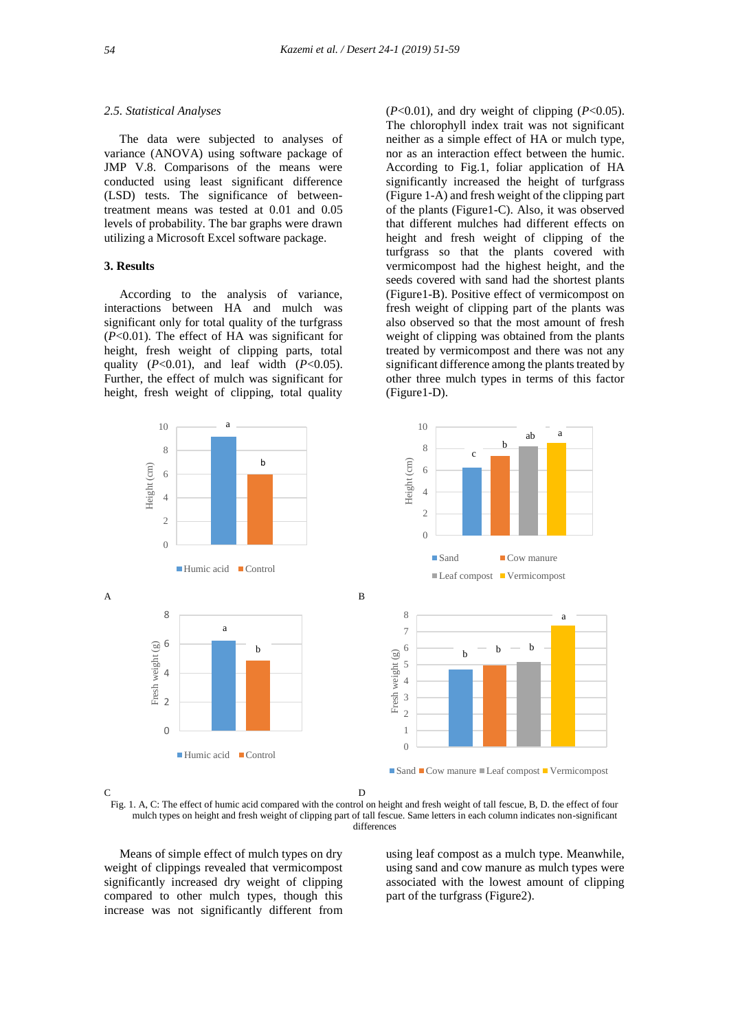#### *2.5. Statistical Analyses*

 The data were subjected to analyses of variance (ANOVA) using software package of JMP V.8. Comparisons of the means were conducted using least significant difference (LSD) tests. The significance of betweentreatment means was tested at 0.01 and 0.05 levels of probability. The bar graphs were drawn utilizing a Microsoft Excel software package.

#### **3. Results**

 According to the analysis of variance, interactions between HA and mulch was significant only for total quality of the turfgrass (*P*<0.01). The effect of HA was significant for height, fresh weight of clipping parts, total quality (*P*<0.01), and leaf width (*P*<0.05). Further, the effect of mulch was significant for height, fresh weight of clipping, total quality

(*P*<0.01), and dry weight of clipping (*P*<0.05). The chlorophyll index trait was not significant neither as a simple effect of HA or mulch type, nor as an interaction effect between the humic. According to Fig.1, foliar application of HA significantly increased the height of turfgrass (Figure 1-A) and fresh weight of the clipping part of the plants (Figure1-C). Also, it was observed that different mulches had different effects on height and fresh weight of clipping of the turfgrass so that the plants covered with vermicompost had the highest height, and the seeds covered with sand had the shortest plants (Figure1-B). Positive effect of vermicompost on fresh weight of clipping part of the plants was also observed so that the most amount of fresh weight of clipping was obtained from the plants treated by vermicompost and there was not any significant difference among the plants treated by other three mulch types in terms of this factor (Figure1-D).



C D



 Means of simple effect of mulch types on dry weight of clippings revealed that vermicompost significantly increased dry weight of clipping compared to other mulch types, though this increase was not significantly different from

using leaf compost as a mulch type. Meanwhile, using sand and cow manure as mulch types were associated with the lowest amount of clipping part of the turfgrass (Figure2).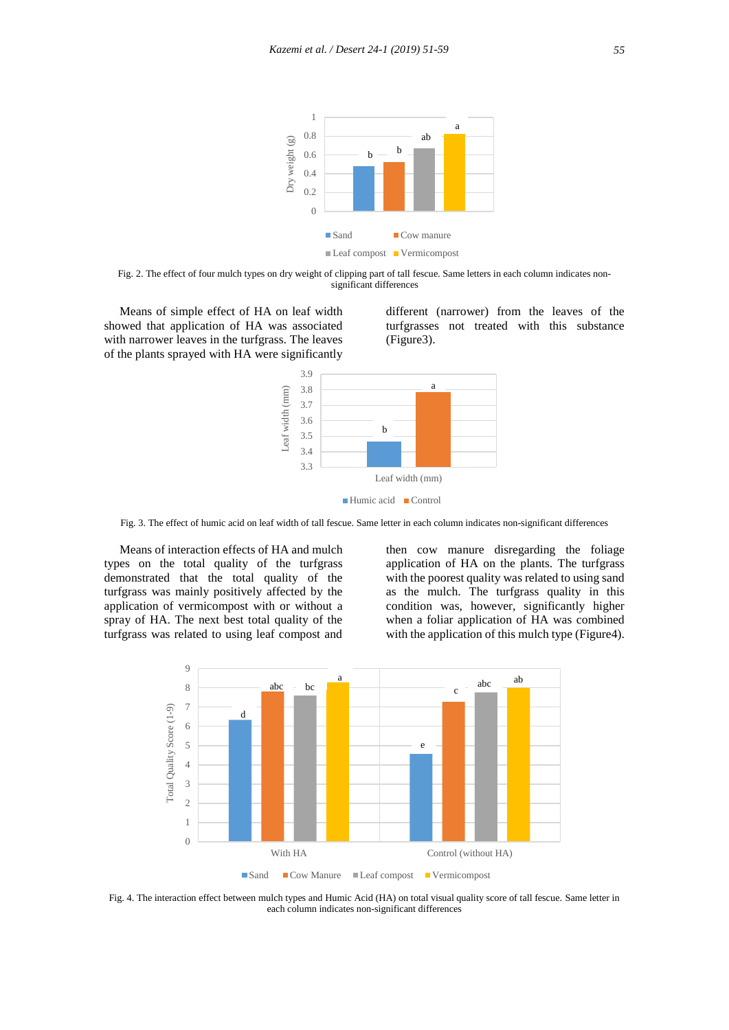

Fig. 2. The effect of four mulch types on dry weight of clipping part of tall fescue. Same letters in each column indicates nonsignificant differences

 Means of simple effect of HA on leaf width showed that application of HA was associated with narrower leaves in the turfgrass. The leaves of the plants sprayed with HA were significantly

different (narrower) from the leaves of the turfgrasses not treated with this substance (Figure3).



Fig. 3. The effect of humic acid on leaf width of tall fescue. Same letter in each column indicates non-significant differences

 Means of interaction effects of HA and mulch types on the total quality of the turfgrass demonstrated that the total quality of the turfgrass was mainly positively affected by the application of vermicompost with or without a spray of HA. The next best total quality of the turfgrass was related to using leaf compost and

then cow manure disregarding the foliage application of HA on the plants. The turfgrass with the poorest quality was related to using sand as the mulch. The turfgrass quality in this condition was, however, significantly higher when a foliar application of HA was combined with the application of this mulch type (Figure4).



Fig. 4. The interaction effect between mulch types and Humic Acid (HA) on total visual quality score of tall fescue. Same letter in each column indicates non-significant differences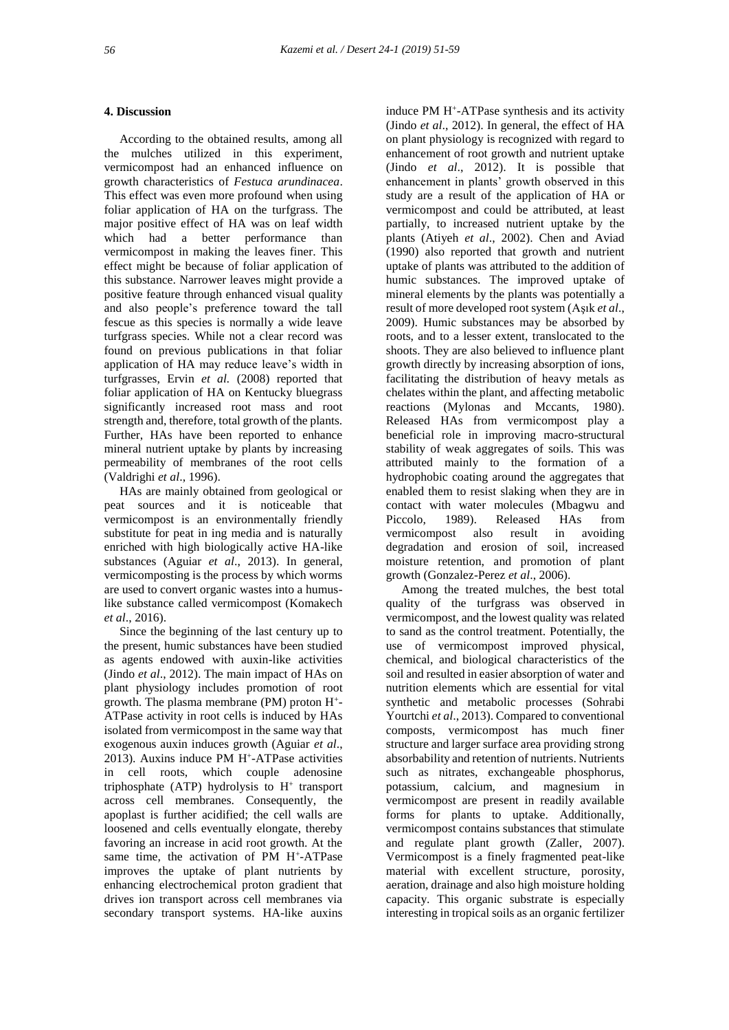### **4. Discussion**

 According to the obtained results, among all the mulches utilized in this experiment, vermicompost had an enhanced influence on growth characteristics of *Festuca arundinacea*. This effect was even more profound when using foliar application of HA on the turfgrass. The major positive effect of HA was on leaf width which had a better performance than vermicompost in making the leaves finer. This effect might be because of foliar application of this substance. Narrower leaves might provide a positive feature through enhanced visual quality and also people's preference toward the tall fescue as this species is normally a wide leave turfgrass species. While not a clear record was found on previous publications in that foliar application of HA may reduce leave's width in turfgrasses, Ervin *et al.* (2008) reported that foliar application of HA on Kentucky bluegrass significantly increased root mass and root strength and, therefore, total growth of the plants. Further, HAs have been reported to enhance mineral nutrient uptake by plants by increasing permeability of membranes of the root cells (Valdrighi *et al*., 1996).

 HAs are mainly obtained from geological or peat sources and it is noticeable that vermicompost is an environmentally friendly substitute for peat in ing media and is naturally enriched with high biologically active HA-like substances (Aguiar *et al*., 2013). In general, vermicomposting is the process by which worms are used to convert organic wastes into a humuslike substance called vermicompost (Komakech *et al*., 2016).

 Since the beginning of the last century up to the present, humic substances have been studied as agents endowed with auxin-like activities (Jindo *et al*., 2012). The main impact of HAs on plant physiology includes promotion of root growth. The plasma membrane (PM) proton H<sup>+</sup> - ATPase activity in root cells is induced by HAs isolated from vermicompost in the same way that exogenous auxin induces growth (Aguiar *et al*., 2013). Auxins induce PM H<sup>+</sup> -ATPase activities in cell roots, which couple adenosine triphosphate (ATP) hydrolysis to  $H^+$  transport across cell membranes. Consequently, the apoplast is further acidified; the cell walls are loosened and cells eventually elongate, thereby favoring an increase in acid root growth. At the same time, the activation of PM H<sup>+</sup>-ATPase improves the uptake of plant nutrients by enhancing electrochemical proton gradient that drives ion transport across cell membranes via secondary transport systems. HA-like auxins

induce PM H<sup>+</sup>-ATPase synthesis and its activity (Jindo *et al*., 2012). In general, the effect of HA on plant physiology is recognized with regard to enhancement of root growth and nutrient uptake (Jindo *et al*., 2012). It is possible that enhancement in plants' growth observed in this study are a result of the application of HA or vermicompost and could be attributed, at least partially, to increased nutrient uptake by the plants (Atiyeh *et al*., 2002). Chen and Aviad (1990) also reported that growth and nutrient uptake of plants was attributed to the addition of humic substances. The improved uptake of mineral elements by the plants was potentially a result of more developed root system (Aşık *et al*., 2009). Humic substances may be absorbed by roots, and to a lesser extent, translocated to the shoots. They are also believed to influence plant growth directly by increasing absorption of ions, facilitating the distribution of heavy metals as chelates within the plant, and affecting metabolic reactions (Mylonas and Mccants, 1980). Released HAs from vermicompost play a beneficial role in improving macro-structural stability of weak aggregates of soils. This was attributed mainly to the formation of a hydrophobic coating around the aggregates that enabled them to resist slaking when they are in contact with water molecules (Mbagwu and Piccolo, 1989). Released HAs from vermicompost also result in avoiding degradation and erosion of soil, increased moisture retention, and promotion of plant growth (Gonzalez-Perez *et al*., 2006).

 Among the treated mulches, the best total quality of the turfgrass was observed in vermicompost, and the lowest quality was related to sand as the control treatment. Potentially, the use of vermicompost improved physical, chemical, and biological characteristics of the soil and resulted in easier absorption of water and nutrition elements which are essential for vital synthetic and metabolic processes (Sohrabi Yourtchi *et al*., 2013). Compared to conventional composts, vermicompost has much finer structure and larger surface area providing strong absorbability and retention of nutrients. Nutrients such as nitrates, exchangeable phosphorus, potassium, calcium, and magnesium in vermicompost are present in readily available forms for plants to uptake. Additionally, vermicompost contains substances that stimulate and regulate plant growth (Zaller, 2007). Vermicompost is a finely fragmented peat-like material with excellent structure, porosity, aeration, drainage and also high moisture holding capacity. This organic substrate is especially interesting in tropical soils as an organic fertilizer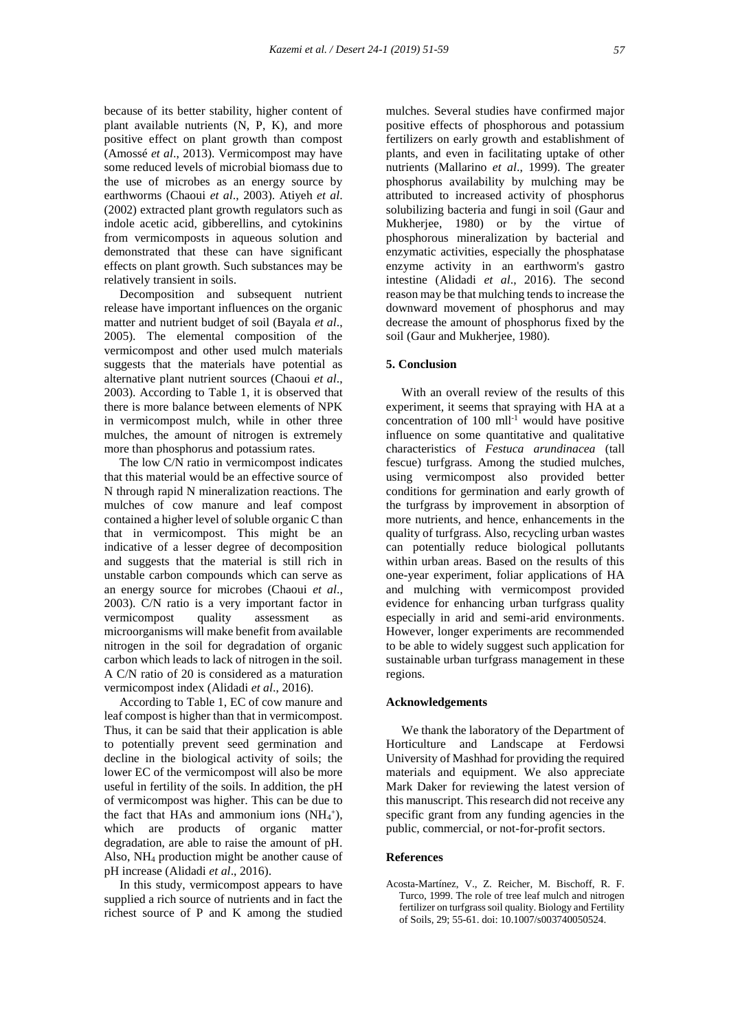because of its better stability, higher content of plant available nutrients (N, P, K), and more positive effect on plant growth than compost (Amossé *et al*., 2013). Vermicompost may have some reduced levels of microbial biomass due to the use of microbes as an energy source by earthworms (Chaoui *et al*., 2003). Atiyeh *et al*. (2002) extracted plant growth regulators such as indole acetic acid, gibberellins, and cytokinins from vermicomposts in aqueous solution and demonstrated that these can have significant effects on plant growth. Such substances may be relatively transient in soils.

 Decomposition and subsequent nutrient release have important influences on the organic matter and nutrient budget of soil (Bayala *et al*., 2005). The elemental composition of the vermicompost and other used mulch materials suggests that the materials have potential as alternative plant nutrient sources (Chaoui *et al*., 2003). According to Table 1, it is observed that there is more balance between elements of NPK in vermicompost mulch, while in other three mulches, the amount of nitrogen is extremely more than phosphorus and potassium rates.

 The low C/N ratio in vermicompost indicates that this material would be an effective source of N through rapid N mineralization reactions. The mulches of cow manure and leaf compost contained a higher level of soluble organic C than that in vermicompost. This might be an indicative of a lesser degree of decomposition and suggests that the material is still rich in unstable carbon compounds which can serve as an energy source for microbes (Chaoui *et al*., 2003). C/N ratio is a very important factor in vermicompost quality assessment as microorganisms will make benefit from available nitrogen in the soil for degradation of organic carbon which leads to lack of nitrogen in the soil. A C/N ratio of 20 is considered as a maturation vermicompost index (Alidadi *et al*., 2016).

 According to Table 1, EC of cow manure and leaf compost is higher than that in vermicompost. Thus, it can be said that their application is able to potentially prevent seed germination and decline in the biological activity of soils; the lower EC of the vermicompost will also be more useful in fertility of the soils. In addition, the pH of vermicompost was higher. This can be due to the fact that HAs and ammonium ions  $(NH<sub>4</sub><sup>+</sup>),$ which are products of organic matter degradation, are able to raise the amount of pH. Also, NH<sup>4</sup> production might be another cause of pH increase (Alidadi *et al*., 2016).

 In this study, vermicompost appears to have supplied a rich source of nutrients and in fact the richest source of P and K among the studied

mulches. Several studies have confirmed major positive effects of phosphorous and potassium fertilizers on early growth and establishment of plants, and even in facilitating uptake of other nutrients (Mallarino *et al*., 1999). The greater phosphorus availability by mulching may be attributed to increased activity of phosphorus solubilizing bacteria and fungi in soil (Gaur and Mukherjee, 1980) or by the virtue of phosphorous mineralization by bacterial and enzymatic activities, especially the phosphatase enzyme activity in an earthworm's gastro intestine (Alidadi *et al*., 2016). The second reason may be that mulching tends to increase the downward movement of phosphorus and may decrease the amount of phosphorus fixed by the soil (Gaur and Mukherjee, 1980).

### **5. Conclusion**

 With an overall review of the results of this experiment, it seems that spraying with HA at a concentration of 100 mll-1 would have positive influence on some quantitative and qualitative characteristics of *Festuca arundinacea* (tall fescue) turfgrass. Among the studied mulches, using vermicompost also provided better conditions for germination and early growth of the turfgrass by improvement in absorption of more nutrients, and hence, enhancements in the quality of turfgrass. Also, recycling urban wastes can potentially reduce biological pollutants within urban areas. Based on the results of this one-year experiment, foliar applications of HA and mulching with vermicompost provided evidence for enhancing urban turfgrass quality especially in arid and semi-arid environments. However, longer experiments are recommended to be able to widely suggest such application for sustainable urban turfgrass management in these regions.

#### **Acknowledgements**

 We thank the laboratory of the Department of Horticulture and Landscape at Ferdowsi University of Mashhad for providing the required materials and equipment. We also appreciate Mark Daker for reviewing the latest version of this manuscript. This research did not receive any specific grant from any funding agencies in the public, commercial, or not-for-profit sectors.

#### **References**

Acosta-Martínez, V., Z. Reicher, M. Bischoff, R. F. Turco, 1999. The role of tree leaf mulch and nitrogen fertilizer on turfgrass soil quality. Biology and Fertility of Soils, 29; 55-61. doi: 10.1007/s003740050524.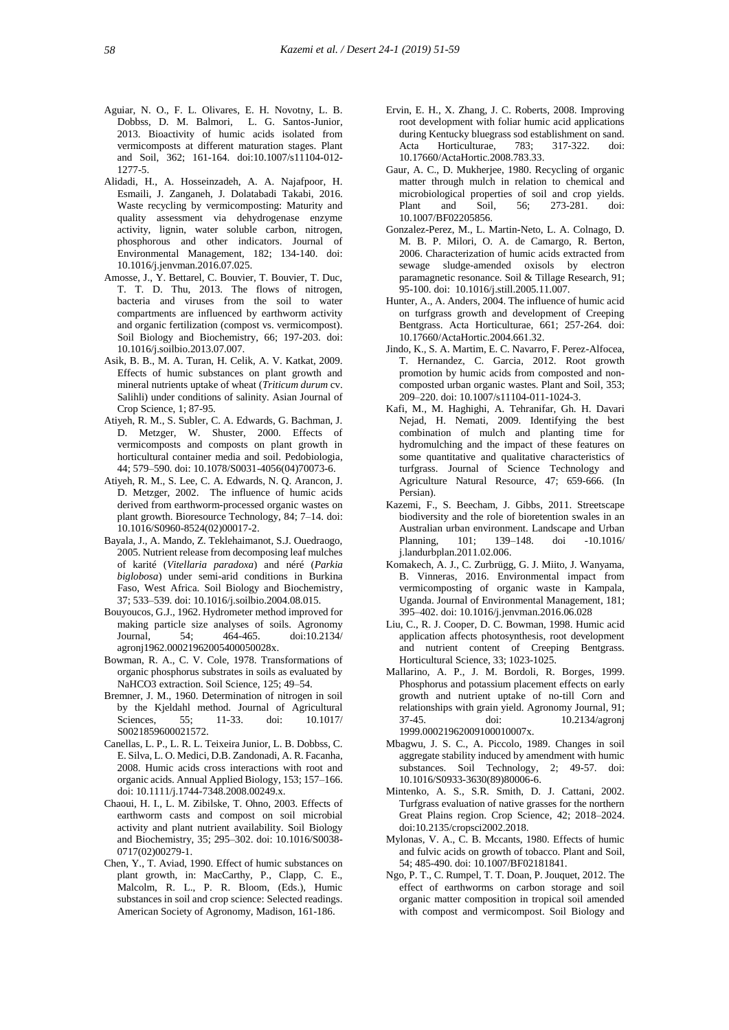- Aguiar, N. O., F. L. Olivares, E. H. Novotny, L. B. Dobbss, D. M. Balmori, L. G. Santos-Junior, 2013. Bioactivity of humic acids isolated from vermicomposts at different maturation stages. Plant and Soil, 362; 161-164. doi:10.1007/s11104-012- 1277-5.
- Alidadi, H., A. Hosseinzadeh, A. A. Najafpoor, H. Esmaili, J. Zanganeh, J. Dolatabadi Takabi, 2016. Waste recycling by vermicomposting: Maturity and quality assessment via dehydrogenase enzyme activity, lignin, water soluble carbon, nitrogen, phosphorous and other indicators. Journal of Environmental Management, 182; 134-140. doi: 10.1016/j.jenvman.2016.07.025.
- Amosse, J., Y. Bettarel, C. Bouvier, T. Bouvier, T. Duc, T. T. D. Thu, 2013. The flows of nitrogen, bacteria and viruses from the soil to water compartments are influenced by earthworm activity and organic fertilization (compost vs. vermicompost). Soil Biology and Biochemistry, 66; 197-203. doi: 10.1016/j.soilbio.2013.07.007.
- Asik, B. B., M. A. Turan, H. Celik, A. V. Katkat, 2009. Effects of humic substances on plant growth and mineral nutrients uptake of wheat (*Triticum durum* cv. Salihli) under conditions of salinity. Asian Journal of Crop Science, 1; 87-95.
- Atiyeh, R. M., S. Subler, C. A. Edwards, G. Bachman, J. D. Metzger, W. Shuster, 2000. Effects of vermicomposts and composts on plant growth in horticultural container media and soil. Pedobiologia, 44; 579–590. doi: 10.1078/S0031-4056(04)70073-6.
- Atiyeh, R. M., S. Lee, C. A. Edwards, N. Q. Arancon, J. D. Metzger, 2002. The influence of humic acids derived from earthworm-processed organic wastes on plant growth. Bioresource Technology, 84; 7–14. doi: 10.1016/S0960-8524(02)00017-2.
- Bayala, J., A. Mando, Z. Teklehaimanot, S.J. Ouedraogo, 2005. Nutrient release from decomposing leaf mulches of karité (*Vitellaria paradoxa*) and néré (*Parkia biglobosa*) under semi-arid conditions in Burkina Faso, West Africa. Soil Biology and Biochemistry, 37; 533–539. doi: 10.1016/j.soilbio.2004.08.015.
- Bouyoucos, G.J., 1962. Hydrometer method improved for making particle size analyses of soils. Agronomy<br>Journal. 54: 464-465. doi:10.2134/ Journal, 54; 464-465. doi:10.2134/ agronj1962.00021962005400050028x.
- Bowman, R. A., C. V. Cole, 1978. Transformations of organic phosphorus substrates in soils as evaluated by NaHCO3 extraction. Soil Science, 125; 49–54.
- Bremner, J. M., 1960. Determination of nitrogen in soil by the Kjeldahl method. Journal of Agricultural Sciences, 55; 11-33. doi: 10.1017/ S0021859600021572.
- Canellas, L. P., L. R. L. Teixeira Junior, L. B. Dobbss, C. E. Silva, L. O. Medici, D.B. Zandonadi, A. R. Facanha, 2008. Humic acids cross interactions with root and organic acids. Annual Applied Biology, 153; 157–166. doi: 10.1111/j.1744-7348.2008.00249.x.
- Chaoui, H. I., L. M. Zibilske, T. Ohno, 2003. Effects of earthworm casts and compost on soil microbial activity and plant nutrient availability. Soil Biology and Biochemistry, 35; 295–302. doi: 10.1016/S0038- 0717(02)00279-1.
- Chen, Y., T. Aviad, 1990. Effect of humic substances on plant growth, in: MacCarthy, P., Clapp, C. E., Malcolm, R. L., P. R. Bloom, (Eds.), Humic substances in soil and crop science: Selected readings. American Society of Agronomy, Madison, 161-186.
- Ervin, E. H., X. Zhang, J. C. Roberts, 2008. Improving root development with foliar humic acid applications during Kentucky bluegrass sod establishment on sand. Acta Horticulturae, 783; 317-322. doi: 10.17660/ActaHortic.2008.783.33.
- Gaur, A. C., D. Mukherjee, 1980. Recycling of organic matter through mulch in relation to chemical and microbiological properties of soil and crop yields.<br>Plant and Soil, 56; 273-281. doi: Plant and Soil, 56; 273-281. doi: 10.1007/BF02205856.
- Gonzalez-Perez, M., L. Martin-Neto, L. A. Colnago, D. M. B. P. Milori, O. A. de Camargo, R. Berton, 2006. Characterization of humic acids extracted from sewage sludge-amended oxisols by electron paramagnetic resonance. Soil & Tillage Research, 91; 95-100. doi: 10.1016/j.still.2005.11.007.
- Hunter, A., A. Anders, 2004. The influence of humic acid on turfgrass growth and development of Creeping Bentgrass. Acta Horticulturae, 661; 257-264. doi: 10.17660/ActaHortic.2004.661.32.
- Jindo, K., S. A. Martim, E. C. Navarro, F. Perez-Alfocea, T. Hernandez, C. Garcia, 2012. Root growth promotion by humic acids from composted and non composted urban organic wastes. Plant and Soil, 353; 209–220. doi: 10.1007/s11104-011-1024-3.
- Kafi, M., M. Haghighi, A. Tehranifar, Gh. H. Davari Nejad, H. Nemati, 2009. Identifying the best combination of mulch and planting time for hydromulching and the impact of these features on some quantitative and qualitative characteristics of turfgrass. Journal of Science Technology and Agriculture Natural Resource, 47; 659-666. (In Persian).
- Kazemi, F., S. Beecham, J. Gibbs, 2011. Streetscape biodiversity and the role of bioretention swales in an Australian urban environment. Landscape and Urban Planning, 101; 139–148. doi -10.1016/ j.landurbplan.2011.02.006.
- Komakech, A. J., C. Zurbrügg, G. J. Miito, J. Wanyama, B. Vinneras, 2016. Environmental impact from vermicomposting of organic waste in Kampala, Uganda. Journal of Environmental Management, 181; 395–402. doi: 10.1016/j.jenvman.2016.06.028
- Liu, C., R. J. Cooper, D. C. Bowman, 1998. Humic acid application affects photosynthesis, root development and nutrient content of Creeping Bentgrass. Horticultural Science, 33; 1023-1025.
- Mallarino, A. P., J. M. Bordoli, R. Borges, 1999. Phosphorus and potassium placement effects on early growth and nutrient uptake of no-till Corn and relationships with grain yield. Agronomy Journal, 91; 37-45. doi: 10.2134/agronj 1999.00021962009100010007x.
- Mbagwu, J. S. C., A. Piccolo, 1989. Changes in soil aggregate stability induced by amendment with humic substances. Soil Technology, 2; 49-57. doi: 10.1016/S0933-3630(89)80006-6.
- Mintenko, A. S., S.R. Smith, D. J. Cattani, 2002. Turfgrass evaluation of native grasses for the northern Great Plains region. Crop Science, 42; 2018–2024. doi:10.2135/cropsci2002.2018.
- Mylonas, V. A., C. B. Mccants, 1980. Effects of humic and fulvic acids on growth of tobacco. Plant and Soil, 54; 485-490. doi: 10.1007/BF02181841.
- Ngo, P. T., C. Rumpel, T. T. Doan, P. Jouquet, 2012. The effect of earthworms on carbon storage and soil organic matter composition in tropical soil amended with compost and vermicompost. Soil Biology and